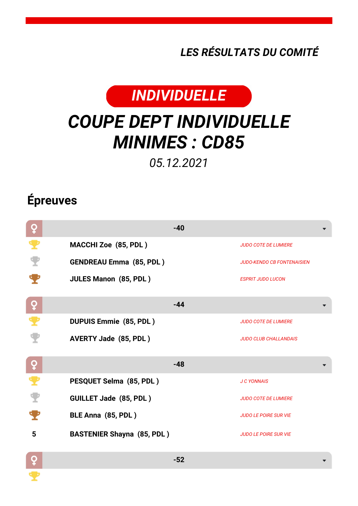*LES RÉSULTATS DU COMITÉ*



## *COUPE DEPT INDIVIDUELLE MINIMES : CD85*

*05.12.2021*

## **Épreuves**

| ò        | $-40$                             |                                   |
|----------|-----------------------------------|-----------------------------------|
| Ŧ        | MACCHI Zoe (85, PDL)              | <b>JUDO COTE DE LUMIERE</b>       |
|          | <b>GENDREAU Emma (85, PDL)</b>    | <b>JUDO-KENDO CB FONTENAISIEN</b> |
|          | <b>JULES Manon (85, PDL)</b>      | <b>ESPRIT JUDO LUCON</b>          |
| ò        | $-44$                             |                                   |
|          | <b>DUPUIS Emmie (85, PDL)</b>     | <b>JUDO COTE DE LUMIERE</b>       |
|          | <b>AVERTY Jade (85, PDL)</b>      | <b>JUDO CLUB CHALLANDAIS</b>      |
| <u>o</u> | $-48$                             |                                   |
| ₹        | PESQUET Selma (85, PDL)           | <b>J C YONNAIS</b>                |
|          | <b>GUILLET Jade (85, PDL)</b>     | <b>JUDO COTE DE LUMIERE</b>       |
|          | BLE Anna (85, PDL)                | <b>JUDO LE POIRE SUR VIE</b>      |
| 5        | <b>BASTENIER Shayna (85, PDL)</b> | <b>JUDO LE POIRE SUR VIE</b>      |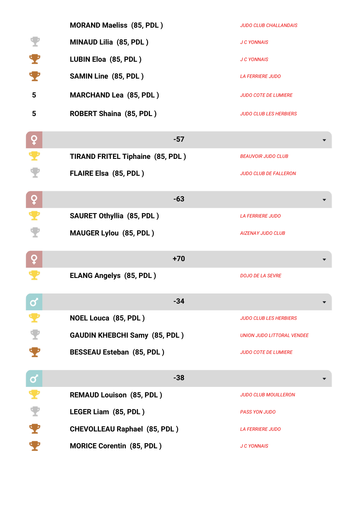|             | <b>MORAND Maeliss (85, PDL)</b>         | <b>JUDO CLUB CHALLANDAIS</b>      |
|-------------|-----------------------------------------|-----------------------------------|
|             | MINAUD Lilia (85, PDL)                  | <b>J C YONNAIS</b>                |
|             | LUBIN Eloa (85, PDL)                    | <b>J C YONNAIS</b>                |
|             | <b>SAMIN Line (85, PDL)</b>             | <b>LA FERRIERE JUDO</b>           |
| 5           | <b>MARCHAND Lea (85, PDL)</b>           | <b>JUDO COTE DE LUMIERE</b>       |
| 5           | <b>ROBERT Shaina (85, PDL)</b>          | <b>JUDO CLUB LES HERBIERS</b>     |
| ò           | $-57$                                   |                                   |
|             | <b>TIRAND FRITEL Tiphaine (85, PDL)</b> | <b>BEAUVOIR JUDO CLUB</b>         |
|             | <b>FLAIRE Elsa (85, PDL)</b>            | <b>JUDO CLUB DE FALLERON</b>      |
| ò           | $-63$                                   |                                   |
| ₹           | <b>SAURET Othyllia (85, PDL)</b>        | <b>LA FERRIERE JUDO</b>           |
|             | <b>MAUGER Lylou (85, PDL)</b>           | <b>AIZENAY JUDO CLUB</b>          |
| ò           | $+70$                                   |                                   |
|             | <b>ELANG Angelys (85, PDL)</b>          | <b>DOJO DE LA SEVRE</b>           |
| Ø           | $-34$                                   |                                   |
|             | <b>NOEL Louca (85, PDL)</b>             | <b>JUDO CLUB LES HERBIERS</b>     |
|             | <b>GAUDIN KHEBCHI Samy (85, PDL)</b>    | <b>UNION JUDO LITTORAL VENDEE</b> |
|             | <b>BESSEAU Esteban (85, PDL)</b>        | <b>JUDO COTE DE LUMIERE</b>       |
| $\mathbf C$ | $-38$                                   |                                   |
|             | <b>REMAUD Louison (85, PDL)</b>         | <b>JUDO CLUB MOUILLERON</b>       |
| T           | LEGER Liam (85, PDL)                    | <b>PASS YON JUDO</b>              |
|             | <b>CHEVOLLEAU Raphael (85, PDL)</b>     | <b>LA FERRIERE JUDO</b>           |
|             | <b>MORICE Corentin (85, PDL)</b>        | <b>J C YONNAIS</b>                |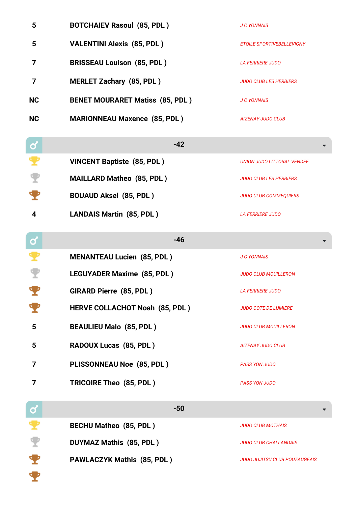| 5            | <b>BOTCHAIEV Rasoul (85, PDL)</b>      | <b>J C YONNAIS</b>                   |
|--------------|----------------------------------------|--------------------------------------|
| 5            | <b>VALENTINI Alexis (85, PDL)</b>      | <b>ETOILE SPORTIVEBELLEVIGNY</b>     |
| 7            | <b>BRISSEAU Louison (85, PDL)</b>      | <b>LA FERRIERE JUDO</b>              |
| 7            | <b>MERLET Zachary (85, PDL)</b>        | <b>JUDO CLUB LES HERBIERS</b>        |
| <b>NC</b>    | <b>BENET MOURARET Matiss (85, PDL)</b> | <b>J C YONNAIS</b>                   |
| <b>NC</b>    | <b>MARIONNEAU Maxence (85, PDL)</b>    | <b>AIZENAY JUDO CLUB</b>             |
| $\mathbf{Q}$ | $-42$                                  |                                      |
|              | <b>VINCENT Baptiste (85, PDL)</b>      | <b>UNION JUDO LITTORAL VENDEE</b>    |
|              | <b>MAILLARD Matheo (85, PDL)</b>       | <b>JUDO CLUB LES HERBIERS</b>        |
|              | <b>BOUAUD Aksel (85, PDL)</b>          | <b>JUDO CLUB COMMEQUIERS</b>         |
| 4            | <b>LANDAIS Martin (85, PDL)</b>        | <b>LA FERRIERE JUDO</b>              |
| $\mathbf{Q}$ | $-46$                                  |                                      |
|              | <b>MENANTEAU Lucien (85, PDL)</b>      | <b>J C YONNAIS</b>                   |
|              | <b>LEGUYADER Maxime (85, PDL)</b>      | <b>JUDO CLUB MOUILLERON</b>          |
|              | GIRARD Pierre (85, PDL)                | <b>LA FERRIERE JUDO</b>              |
|              | HERVE COLLACHOT Noah (85, PDL)         | <b>JUDO COTE DE LUMIERE</b>          |
| 5            | <b>BEAULIEU Malo (85, PDL)</b>         | <b>JUDO CLUB MOUILLERON</b>          |
| 5            | RADOUX Lucas (85, PDL)                 | <b>AIZENAY JUDO CLUB</b>             |
| 7            | PLISSONNEAU Noe (85, PDL)              | <b>PASS YON JUDO</b>                 |
| 7            | TRICOIRE Theo (85, PDL)                | <b>PASS YON JUDO</b>                 |
| $\mathbf{Q}$ | $-50$                                  |                                      |
|              | <b>BECHU Matheo (85, PDL)</b>          | <b>JUDO CLUB MOTHAIS</b>             |
| Y            | <b>DUYMAZ Mathis (85, PDL)</b>         | <b>JUDO CLUB CHALLANDAIS</b>         |
|              | <b>PAWLACZYK Mathis (85, PDL)</b>      | <b>JUDO JUJITSU CLUB POUZAUGEAIS</b> |
|              |                                        |                                      |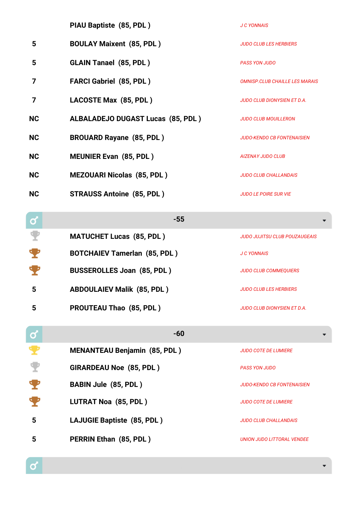|           | PIAU Baptiste (85, PDL)                  | <b>J C YONNAIS</b>                    |
|-----------|------------------------------------------|---------------------------------------|
| 5         | <b>BOULAY Maixent (85, PDL)</b>          | <b>JUDO CLUB LES HERBIERS</b>         |
| 5         | <b>GLAIN Tanael (85, PDL)</b>            | <b>PASS YON JUDO</b>                  |
| 7         | <b>FARCI Gabriel (85, PDL)</b>           | <b>OMNISP.CLUB CHAILLE LES MARAIS</b> |
| 7         | LACOSTE Max (85, PDL)                    | <b>JUDO CLUB DIONYSIEN ET D.A.</b>    |
| <b>NC</b> | <b>ALBALADEJO DUGAST Lucas (85, PDL)</b> | <b>JUDO CLUB MOUILLERON</b>           |
| <b>NC</b> | <b>BROUARD Rayane (85, PDL)</b>          | <b>JUDO-KENDO CB FONTENAISIEN</b>     |
| <b>NC</b> | <b>MEUNIER Evan (85, PDL)</b>            | <b>AIZENAY JUDO CLUB</b>              |
| <b>NC</b> | <b>MEZOUARI Nicolas (85, PDL)</b>        | <b>JUDO CLUB CHALLANDAIS</b>          |
| <b>NC</b> | <b>STRAUSS Antoine (85, PDL)</b>         | <b>JUDO LE POIRE SUR VIE</b>          |
|           |                                          |                                       |

| $\bullet$ | $-55$                               |                               |
|-----------|-------------------------------------|-------------------------------|
|           | <b>MATUCHET Lucas (85, PDL)</b>     | JUDO JUJITSU CLUB POUZAUGEAIS |
|           | <b>BOTCHAIEV Tamerlan (85, PDL)</b> | <b>J C YONNAIS</b>            |
|           | <b>BUSSEROLLES Joan (85, PDL)</b>   | <b>JUDO CLUB COMMEQUIERS</b>  |
| 5         | <b>ABDOULAIEV Malik (85, PDL)</b>   | <b>JUDO CLUB LES HERBIERS</b> |
|           | <b>PROUTEAU Thao (85, PDL)</b>      | JUDO CLUB DIONYSIEN ET D.A.   |
|           |                                     |                               |

| $\mathbf 3$ | $-60$                               |                                   |
|-------------|-------------------------------------|-----------------------------------|
|             | <b>MENANTEAU Benjamin (85, PDL)</b> | <b>JUDO COTE DE LUMIERE</b>       |
|             | <b>GIRARDEAU Noe (85, PDL)</b>      | <b>PASS YON JUDO</b>              |
|             | <b>BABIN Jule (85, PDL)</b>         | <b>JUDO-KENDO CB FONTENAISIEN</b> |
|             | LUTRAT Noa (85, PDL)                | <b>JUDO COTE DE LUMIERE</b>       |
| 5           | LAJUGIE Baptiste (85, PDL)          | <b>JUDO CLUB CHALLANDAIS</b>      |
| 5           | PERRIN Ethan (85, PDL)              | UNION JUDO LITTORAL VENDEE        |